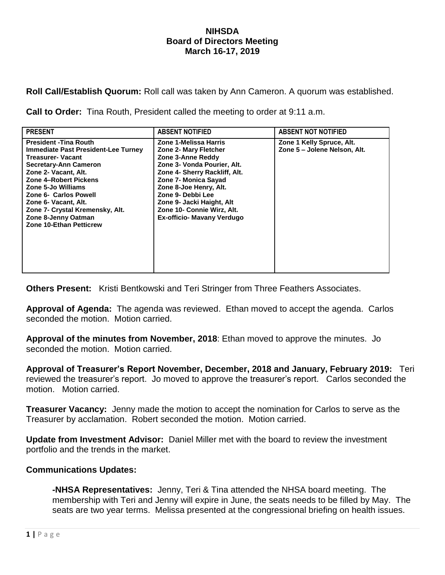## **NIHSDA Board of Directors Meeting March 16-17, 2019**

**Roll Call/Establish Quorum:** Roll call was taken by Ann Cameron. A quorum was established.

**Call to Order:** Tina Routh, President called the meeting to order at 9:11 a.m.

| <b>PRESENT</b>                                                                                                                                                                                                                                                                                                                                             | <b>ABSENT NOTIFIED</b>                                                                                                                                                                                                                                                                                            | <b>ABSENT NOT NOTIFIED</b>                                |
|------------------------------------------------------------------------------------------------------------------------------------------------------------------------------------------------------------------------------------------------------------------------------------------------------------------------------------------------------------|-------------------------------------------------------------------------------------------------------------------------------------------------------------------------------------------------------------------------------------------------------------------------------------------------------------------|-----------------------------------------------------------|
| <b>President - Tina Routh</b><br><b>Immediate Past President-Lee Turney</b><br><b>Treasurer-Vacant</b><br><b>Secretary-Ann Cameron</b><br>Zone 2- Vacant, Alt.<br>Zone 4-Robert Pickens<br>Zone 5-Jo Williams<br>Zone 6- Carlos Powell<br>Zone 6- Vacant, Alt.<br>Zone 7- Crystal Kremensky, Alt.<br>Zone 8-Jenny Oatman<br><b>Zone 10-Ethan Petticrew</b> | Zone 1-Melissa Harris<br><b>Zone 2- Mary Fletcher</b><br>Zone 3-Anne Reddy<br>Zone 3- Vonda Pourier, Alt.<br>Zone 4- Sherry Rackliff, Alt.<br>Zone 7- Monica Sayad<br>Zone 8-Joe Henry, Alt.<br>Zone 9- Debbi Lee<br>Zone 9- Jacki Haight, Alt<br>Zone 10- Connie Wirz, Alt.<br><b>Ex-officio- Mavany Verdugo</b> | Zone 1 Kelly Spruce, Alt.<br>Zone 5 - Jolene Nelson, Alt. |

**Others Present:** Kristi Bentkowski and Teri Stringer from Three Feathers Associates.

**Approval of Agenda:** The agenda was reviewed. Ethan moved to accept the agenda. Carlos seconded the motion. Motion carried.

**Approval of the minutes from November, 2018**: Ethan moved to approve the minutes. Jo seconded the motion. Motion carried.

**Approval of Treasurer's Report November, December, 2018 and January, February 2019:** Teri reviewed the treasurer's report. Jo moved to approve the treasurer's report. Carlos seconded the motion. Motion carried.

**Treasurer Vacancy:** Jenny made the motion to accept the nomination for Carlos to serve as the Treasurer by acclamation. Robert seconded the motion. Motion carried.

**Update from Investment Advisor:** Daniel Miller met with the board to review the investment portfolio and the trends in the market.

## **Communications Updates:**

**-NHSA Representatives:** Jenny, Teri & Tina attended the NHSA board meeting. The membership with Teri and Jenny will expire in June, the seats needs to be filled by May. The seats are two year terms. Melissa presented at the congressional briefing on health issues.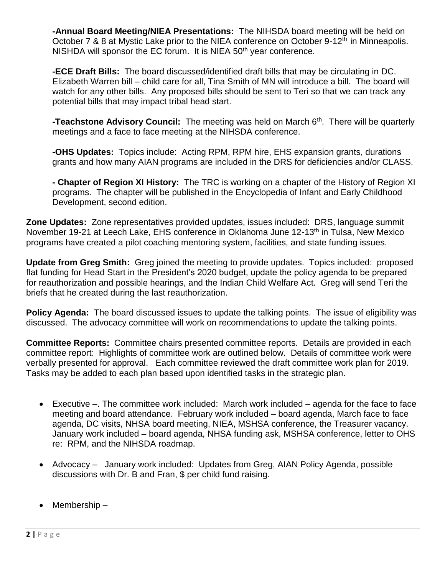**-Annual Board Meeting/NIEA Presentations:** The NIHSDA board meeting will be held on October 7 & 8 at Mystic Lake prior to the NIEA conference on October 9-12<sup>th</sup> in Minneapolis. NISHDA will sponsor the EC forum. It is NIEA  $50<sup>th</sup>$  year conference.

**-ECE Draft Bills:** The board discussed/identified draft bills that may be circulating in DC. Elizabeth Warren bill – child care for all, Tina Smith of MN will introduce a bill. The board will watch for any other bills. Any proposed bills should be sent to Teri so that we can track any potential bills that may impact tribal head start.

**-Teachstone Advisory Council:** The meeting was held on March 6<sup>th</sup>. There will be quarterly meetings and a face to face meeting at the NIHSDA conference.

**-OHS Updates:** Topics include: Acting RPM, RPM hire, EHS expansion grants, durations grants and how many AIAN programs are included in the DRS for deficiencies and/or CLASS.

**- Chapter of Region XI History:** The TRC is working on a chapter of the History of Region XI programs. The chapter will be published in the Encyclopedia of Infant and Early Childhood Development, second edition.

**Zone Updates:** Zone representatives provided updates, issues included: DRS, language summit November 19-21 at Leech Lake, EHS conference in Oklahoma June 12-13<sup>th</sup> in Tulsa, New Mexico programs have created a pilot coaching mentoring system, facilities, and state funding issues.

**Update from Greg Smith:** Greg joined the meeting to provide updates. Topics included: proposed flat funding for Head Start in the President's 2020 budget, update the policy agenda to be prepared for reauthorization and possible hearings, and the Indian Child Welfare Act. Greg will send Teri the briefs that he created during the last reauthorization.

**Policy Agenda:** The board discussed issues to update the talking points. The issue of eligibility was discussed. The advocacy committee will work on recommendations to update the talking points.

**Committee Reports:** Committee chairs presented committee reports. Details are provided in each committee report: Highlights of committee work are outlined below. Details of committee work were verbally presented for approval. Each committee reviewed the draft committee work plan for 2019. Tasks may be added to each plan based upon identified tasks in the strategic plan.

- Executive –. The committee work included: March work included agenda for the face to face meeting and board attendance. February work included – board agenda, March face to face agenda, DC visits, NHSA board meeting, NIEA, MSHSA conference, the Treasurer vacancy. January work included – board agenda, NHSA funding ask, MSHSA conference, letter to OHS re: RPM, and the NIHSDA roadmap.
- Advocacy January work included: Updates from Greg, AIAN Policy Agenda, possible discussions with Dr. B and Fran, \$ per child fund raising.
- Membership –